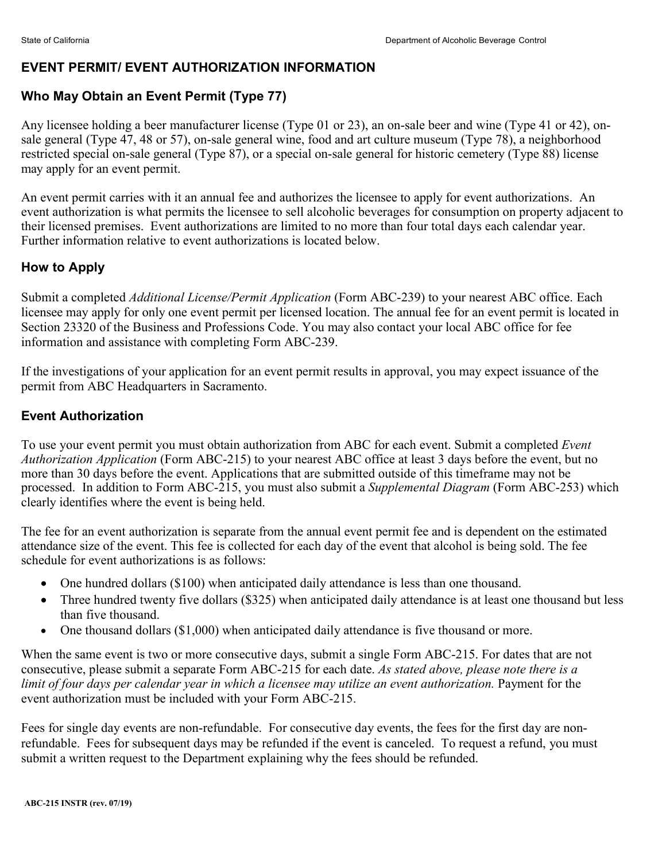## **EVENT PERMIT/ EVENT AUTHORIZATION INFORMATION**

# **Who May Obtain an Event Permit (Type 77)**

Any licensee holding a beer manufacturer license (Type 01 or 23), an on-sale beer and wine (Type 41 or 42), onsale general (Type 47, 48 or 57), on-sale general wine, food and art culture museum (Type 78), a neighborhood restricted special on-sale general (Type 87), or a special on-sale general for historic cemetery (Type 88) license may apply for an event permit.

An event permit carries with it an annual fee and authorizes the licensee to apply for event authorizations. An event authorization is what permits the licensee to sell alcoholic beverages for consumption on property adjacent to their licensed premises. Event authorizations are limited to no more than four total days each calendar year. Further information relative to event authorizations is located below.

## **How to Apply**

Submit a completed *Additional License/Permit Application* (Form ABC-239) to your nearest ABC office. Each licensee may apply for only one event permit per licensed location. The annual fee for an event permit is located in Section 23320 of the Business and Professions Code. You may also contact your local ABC office for fee information and assistance with completing Form ABC-239.

If the investigations of your application for an event permit results in approval, you may expect issuance of the permit from ABC Headquarters in Sacramento.

## **Event Authorization**

To use your event permit you must obtain authorization from ABC for each event. Submit a completed *Event Authorization Application* (Form ABC-215) to your nearest ABC office at least 3 days before the event, but no more than 30 days before the event. Applications that are submitted outside of this timeframe may not be processed. In addition to Form ABC-215, you must also submit a *Supplemental Diagram* (Form ABC-253) which clearly identifies where the event is being held.

The fee for an event authorization is separate from the annual event permit fee and is dependent on the estimated attendance size of the event. This fee is collected for each day of the event that alcohol is being sold. The fee schedule for event authorizations is as follows:

- One hundred dollars (\$100) when anticipated daily attendance is less than one thousand.
- Three hundred twenty five dollars (\$325) when anticipated daily attendance is at least one thousand but less than five thousand.
- One thousand dollars (\$1,000) when anticipated daily attendance is five thousand or more.

When the same event is two or more consecutive days, submit a single Form ABC-215. For dates that are not consecutive, please submit a separate Form ABC-215 for each date. *As stated above, please note there is a limit of four days per calendar year in which a licensee may utilize an event authorization.* Payment for the event authorization must be included with your Form ABC-215.

Fees for single day events are non-refundable. For consecutive day events, the fees for the first day are nonrefundable. Fees for subsequent days may be refunded if the event is canceled. To request a refund, you must submit a written request to the Department explaining why the fees should be refunded.